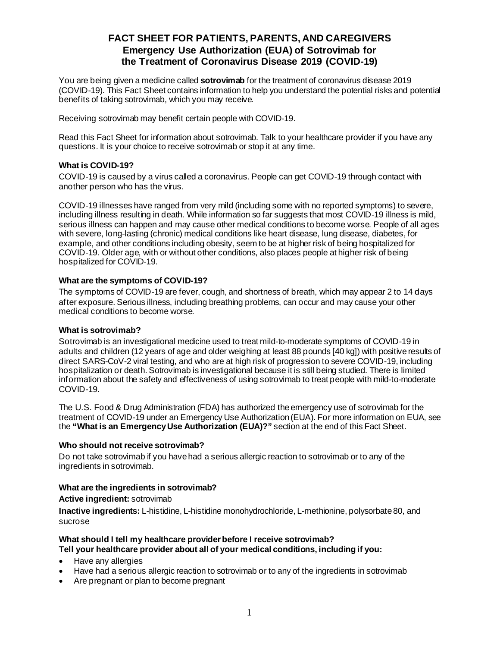# **FACT SHEET FOR PATIENTS, PARENTS, AND CAREGIVERS Emergency Use Authorization (EUA) of Sotrovimab for the Treatment of Coronavirus Disease 2019 (COVID-19)**

You are being given a medicine called **sotrovimab** for the treatment of coronavirus disease 2019 (COVID-19). This Fact Sheet contains information to help you understand the potential risks and potential benefits of taking sotrovimab, which you may receive.

Receiving sotrovimab may benefit certain people with COVID-19.

Read this Fact Sheet for information about sotrovimab. Talk to your healthcare provider if you have any questions. It is your choice to receive sotrovimab or stop it at any time.

### **What is COVID-19?**

COVID-19 is caused by a virus called a coronavirus. People can get COVID-19 through contact with another person who has the virus.

COVID-19 illnesses have ranged from very mild (including some with no reported symptoms) to severe, including illness resulting in death. While information so far suggests that most COVID-19 illness is mild, serious illness can happen and may cause other medical conditions to become worse. People of all ages with severe, long-lasting (chronic) medical conditions like heart disease, lung disease, diabetes, for example, and other conditions including obesity, seem to be at higher risk of being hospitalized for COVID-19. Older age, with or without other conditions, also places people at higher risk of being hospitalized for COVID-19.

### **What are the symptoms of COVID-19?**

The symptoms of COVID-19 are fever, cough, and shortness of breath, which may appear 2 to 14 days after exposure. Serious illness, including breathing problems, can occur and may cause your other medical conditions to become worse.

### **What is sotrovimab?**

Sotrovimab is an investigational medicine used to treat mild-to-moderate symptoms of COVID-19 in adults and children (12 years of age and older weighing at least 88 pounds [40 kg]) with positive results of direct SARS-CoV-2 viral testing, and who are at high risk of progression to severe COVID-19, including hospitalization or death. Sotrovimab is investigational because it is still being studied. There is limited information about the safety and effectiveness of using sotrovimab to treat people with mild-to-moderate COVID-19.

The U.S. Food & Drug Administration (FDA) has authorized the emergency use of sotrovimab for the treatment of COVID-19 under an Emergency Use Authorization (EUA). For more information on EUA, see the **"What is an Emergency Use Authorization (EUA)?"** section at the end of this Fact Sheet.

### **Who should not receive sotrovimab?**

Do not take sotrovimab if you have had a serious allergic reaction to sotrovimab or to any of the ingredients in sotrovimab.

### **What are the ingredients in sotrovimab?**

**Active ingredient:** sotrovimab

**Inactive ingredients:** L-histidine, L-histidine monohydrochloride, L-methionine, polysorbate 80, and sucrose

#### **What should I tell my healthcare provider before I receive sotrovimab? Tell your healthcare provider about all of your medical conditions, including if you:**

- Have any allergies
- Have had a serious allergic reaction to sotrovimab or to any of the ingredients in sotrovimab
- Are pregnant or plan to become pregnant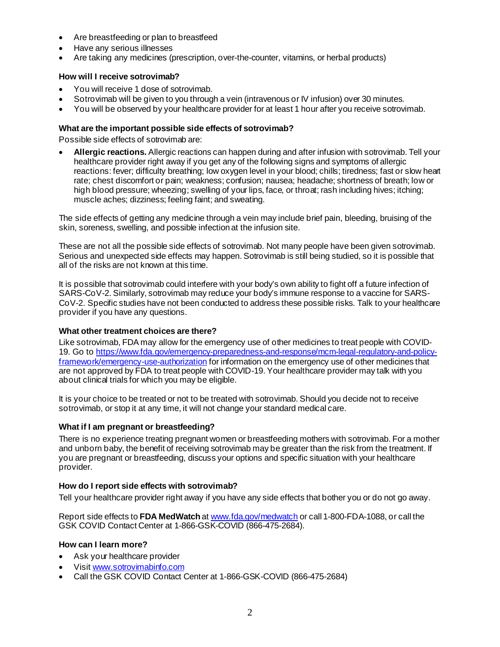- Are breastfeeding or plan to breastfeed
- Have any serious illnesses
- Are taking any medicines (prescription, over-the-counter, vitamins, or herbal products)

#### **How will I receive sotrovimab?**

- You will receive 1 dose of sotrovimab.
- Sotrovimab will be given to you through a vein (intravenous or IV infusion) over 30 minutes.
- You will be observed by your healthcare provider for at least 1 hour after you receive sotrovimab.

### **What are the important possible side effects of sotrovimab?**

Possible side effects of sotrovimab are:

• **Allergic reactions.** Allergic reactions can happen during and after infusion with sotrovimab. Tell your healthcare provider right away if you get any of the following signs and symptoms of allergic reactions: fever; difficulty breathing; low oxygen level in your blood; chills; tiredness; fast or slow heart rate; chest discomfort or pain; weakness; confusion; nausea; headache; shortness of breath; low or high blood pressure; wheezing; swelling of your lips, face, or throat; rash including hives; itching; muscle aches; dizziness; feeling faint; and sweating.

The side effects of getting any medicine through a vein may include brief pain, bleeding, bruising of the skin, soreness, swelling, and possible infection at the infusion site.

These are not all the possible side effects of sotrovimab. Not many people have been given sotrovimab. Serious and unexpected side effects may happen. Sotrovimab is still being studied, so it is possible that all of the risks are not known at this time.

It is possible that sotrovimab could interfere with your body's own ability to fight off a future infection of SARS-CoV-2. Similarly, sotrovimab may reduce your body's immune response to a vaccine for SARS-CoV-2. Specific studies have not been conducted to address these possible risks. Talk to your healthcare provider if you have any questions.

#### **What other treatment choices are there?**

Like sotrovimab, FDA may allow for the emergency use of other medicines to treat people with COVID-19. Go t[o https://www.fda.gov/emergency-preparedness-and-response/mcm-legal-regulatory-and-policy](https://www.fda.gov/emergency-preparedness-and-response/mcm-legal-regulatory-and-policy-framework/emergency-use-authorization)[framework/emergency-use-authorization](https://www.fda.gov/emergency-preparedness-and-response/mcm-legal-regulatory-and-policy-framework/emergency-use-authorization) for information on the emergency use of other medicines that are not approved by FDA to treat people with COVID-19. Your healthcare provider may talk with you about clinical trials for which you may be eligible.

It is your choice to be treated or not to be treated with sotrovimab. Should you decide not to receive sotrovimab, or stop it at any time, it will not change your standard medical care.

#### **What if I am pregnant or breastfeeding?**

There is no experience treating pregnant women or breastfeeding mothers with sotrovimab. For a mother and unborn baby, the benefit of receiving sotrovimab may be greater than the risk from the treatment. If you are pregnant or breastfeeding, discuss your options and specific situation with your healthcare provider.

#### **How do I report side effects with sotrovimab?**

Tell your healthcare provider right away if you have any side effects that bother you or do not go away.

Report side effects to **FDA MedWatch** a[t www.fda.gov/medwatch](http://www.fda.gov/medwatch) or call 1-800-FDA-1088, or call the GSK COVID Contact Center at 1-866-GSK-COVID (866-475-2684).

#### **How can I learn more?**

- Ask your healthcare provider
- Visi[t www.sotrovimabinfo.com](http://www.sotrovimabinfo.com/)
- Call the GSK COVID Contact Center at 1-866-GSK-COVID (866-475-2684)